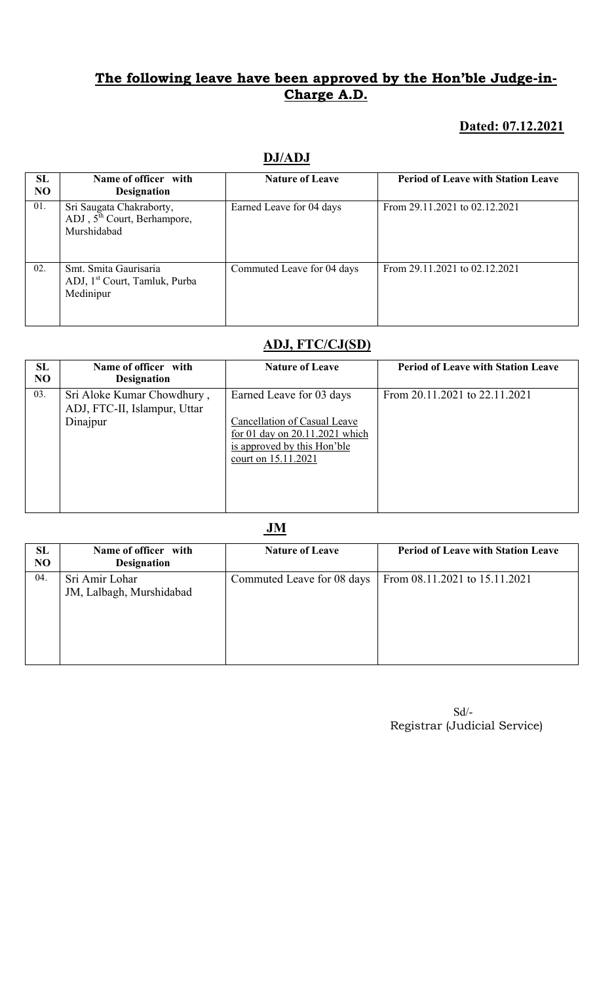#### Dated: 07.12.2021

| SL<br>NO | Name of officer with<br><b>Designation</b>                                         | <b>Nature of Leave</b>     | <b>Period of Leave with Station Leave</b> |
|----------|------------------------------------------------------------------------------------|----------------------------|-------------------------------------------|
| 01.      | Sri Saugata Chakraborty,<br>ADJ, $5^{\text{th}}$ Court, Berhampore,<br>Murshidabad | Earned Leave for 04 days   | From 29.11.2021 to 02.12.2021             |
| 02.      | Smt. Smita Gaurisaria<br>ADJ, 1 <sup>st</sup> Court, Tamluk, Purba<br>Medinipur    | Commuted Leave for 04 days | From 29.11.2021 to 02.12.2021             |

## DJ/ADJ

## ADJ, FTC/CJ(SD)

| SL<br>N <sub>O</sub> | Name of officer with                                                   | <b>Nature of Leave</b>                                                                                                                           | <b>Period of Leave with Station Leave</b> |
|----------------------|------------------------------------------------------------------------|--------------------------------------------------------------------------------------------------------------------------------------------------|-------------------------------------------|
|                      | <b>Designation</b>                                                     |                                                                                                                                                  |                                           |
| 03.                  | Sri Aloke Kumar Chowdhury,<br>ADJ, FTC-II, Islampur, Uttar<br>Dinajpur | Earned Leave for 03 days<br>Cancellation of Casual Leave<br>for 01 day on 20.11.2021 which<br>is approved by this Hon'ble<br>court on 15.11.2021 | From 20.11.2021 to 22.11.2021             |

JM

| SL             | Name of officer with     | <b>Nature of Leave</b>     | <b>Period of Leave with Station Leave</b> |
|----------------|--------------------------|----------------------------|-------------------------------------------|
| N <sub>O</sub> | <b>Designation</b>       |                            |                                           |
| 04.            | Sri Amir Lohar           | Commuted Leave for 08 days | From 08.11.2021 to 15.11.2021             |
|                | JM, Lalbagh, Murshidabad |                            |                                           |
|                |                          |                            |                                           |
|                |                          |                            |                                           |
|                |                          |                            |                                           |
|                |                          |                            |                                           |
|                |                          |                            |                                           |
|                |                          |                            |                                           |

 Sd/- Registrar (Judicial Service)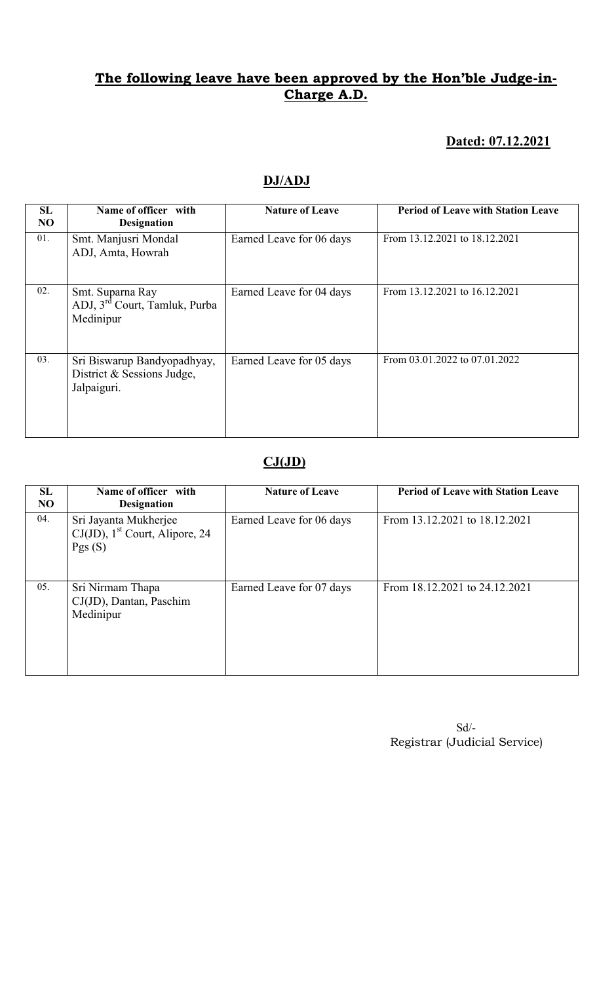#### Dated: 07.12.2021

#### DJ/ADJ

| SL<br>NO | Name of officer with<br><b>Designation</b>                                 | <b>Nature of Leave</b>   | <b>Period of Leave with Station Leave</b> |
|----------|----------------------------------------------------------------------------|--------------------------|-------------------------------------------|
| 01.      | Smt. Manjusri Mondal<br>ADJ, Amta, Howrah                                  | Earned Leave for 06 days | From 13.12.2021 to 18.12.2021             |
| 02.      | Smt. Suparna Ray<br>ADJ, 3 <sup>rd</sup> Court, Tamluk, Purba<br>Medinipur | Earned Leave for 04 days | From 13.12.2021 to 16.12.2021             |
| 03.      | Sri Biswarup Bandyopadhyay,<br>District & Sessions Judge,<br>Jalpaiguri.   | Earned Leave for 05 days | From 03.01.2022 to 07.01.2022             |

## $CJ(JD)$

| SL<br>N <sub>O</sub> | Name of officer with<br><b>Designation</b>                                       | <b>Nature of Leave</b>   | <b>Period of Leave with Station Leave</b> |
|----------------------|----------------------------------------------------------------------------------|--------------------------|-------------------------------------------|
| 04.                  | Sri Jayanta Mukherjee<br>$CJ(JD)$ , 1 <sup>st</sup> Court, Alipore, 24<br>Pgs(S) | Earned Leave for 06 days | From 13.12.2021 to 18.12.2021             |
| 05.                  | Sri Nirmam Thapa<br>CJ(JD), Dantan, Paschim<br>Medinipur                         | Earned Leave for 07 days | From 18.12.2021 to 24.12.2021             |

 Sd/- Registrar (Judicial Service)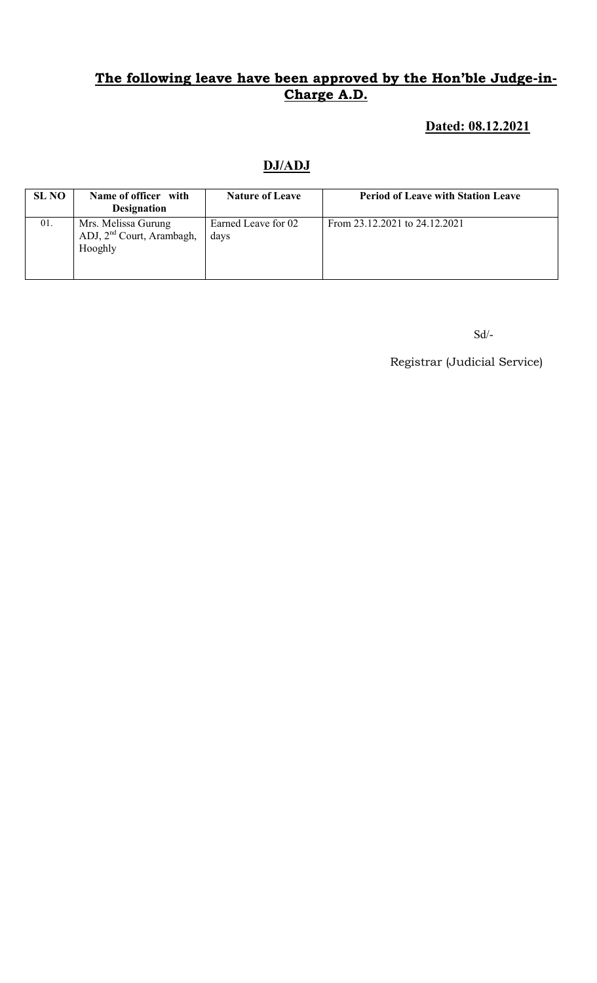## Dated: 08.12.2021

## DJ/ADJ

| <b>SL NO</b> | Name of officer with<br><b>Designation</b>                              | <b>Nature of Leave</b>      | <b>Period of Leave with Station Leave</b> |
|--------------|-------------------------------------------------------------------------|-----------------------------|-------------------------------------------|
| 01.          | Mrs. Melissa Gurung<br>ADJ, 2 <sup>nd</sup> Court, Arambagh,<br>Hooghly | Earned Leave for 02<br>days | From 23.12.2021 to 24.12.2021             |

Sd/-

Registrar (Judicial Service)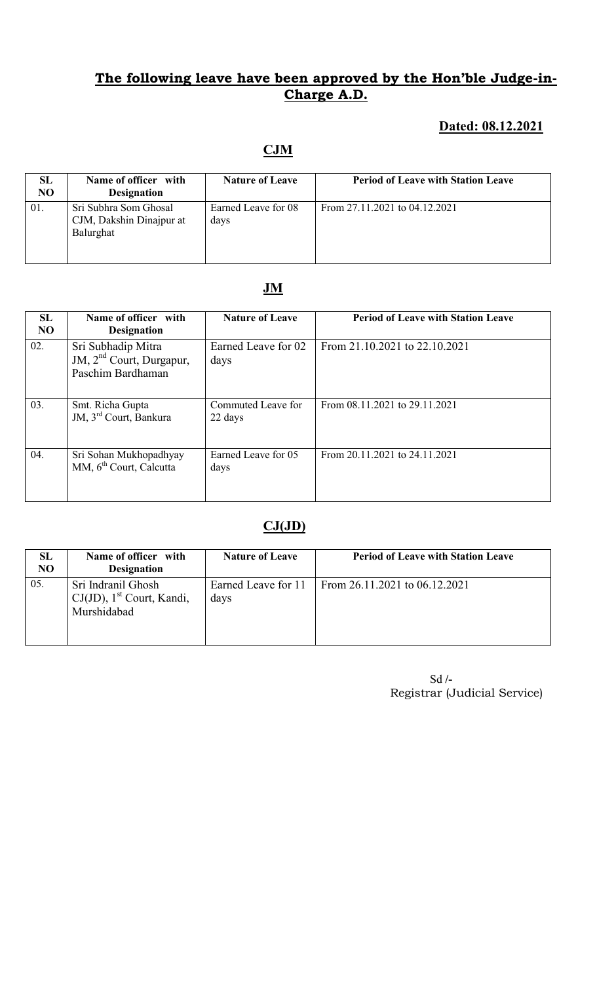#### Dated: 08.12.2021

# **CJM**

| <b>SL</b><br>N <sub>O</sub> | Name of officer with<br><b>Designation</b>                     | <b>Nature of Leave</b>      | <b>Period of Leave with Station Leave</b> |
|-----------------------------|----------------------------------------------------------------|-----------------------------|-------------------------------------------|
| 01.                         | Sri Subhra Som Ghosal<br>CJM, Dakshin Dinajpur at<br>Balurghat | Earned Leave for 08<br>days | From 27.11.2021 to 04.12.2021             |

## JM

| <b>SL</b><br>N <sub>O</sub> | Name of officer with<br><b>Designation</b>                            | <b>Nature of Leave</b>        | <b>Period of Leave with Station Leave</b> |
|-----------------------------|-----------------------------------------------------------------------|-------------------------------|-------------------------------------------|
| 02.                         | Sri Subhadip Mitra<br>JM, $2nd$ Court, Durgapur,<br>Paschim Bardhaman | Earned Leave for 02<br>days   | From 21.10.2021 to 22.10.2021             |
| 03.                         | Smt. Richa Gupta<br>JM, 3 <sup>rd</sup> Court, Bankura                | Commuted Leave for<br>22 days | From 08.11.2021 to 29.11.2021             |
| 04.                         | Sri Sohan Mukhopadhyay<br>MM, 6 <sup>th</sup> Court, Calcutta         | Earned Leave for 05<br>days   | From 20.11.2021 to 24.11.2021             |

#### $CJ(JD)$

| <b>SL</b><br>N <sub>O</sub> | Name of officer with<br><b>Designation</b>                                    | <b>Nature of Leave</b>      | <b>Period of Leave with Station Leave</b> |
|-----------------------------|-------------------------------------------------------------------------------|-----------------------------|-------------------------------------------|
| 05.                         | Sri Indranil Ghosh<br>$CJ(JD)$ , 1 <sup>st</sup> Court, Kandi,<br>Murshidabad | Earned Leave for 11<br>days | From 26.11.2021 to 06.12.2021             |

 Sd /- Registrar (Judicial Service)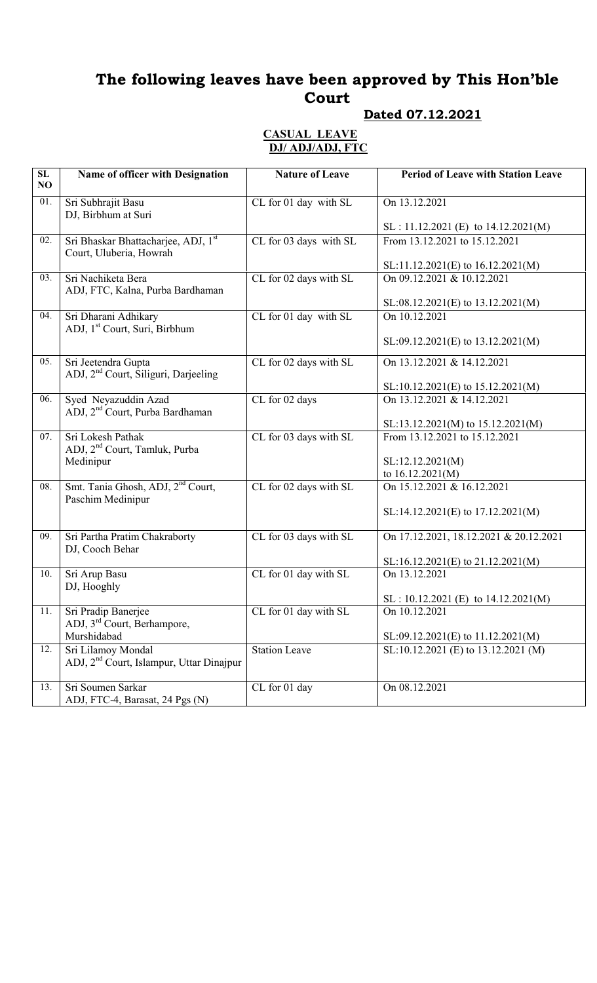# The following leaves have been approved by This Hon'ble Court

## Dated 07.12.2021

#### CASUAL LEAVE DJ/ ADJ/ADJ, FTC

| SL<br>NO | Name of officer with Designation                                           | <b>Nature of Leave</b> | <b>Period of Leave with Station Leave</b>          |
|----------|----------------------------------------------------------------------------|------------------------|----------------------------------------------------|
| 01.      | Sri Subhrajit Basu<br>DJ, Birbhum at Suri                                  | CL for 01 day with SL  | On 13.12.2021                                      |
|          |                                                                            |                        | $SL: 11.12.2021 (E)$ to $14.12.2021(M)$            |
| 02.      | Sri Bhaskar Bhattacharjee, ADJ, 1st<br>Court, Uluberia, Howrah             | CL for 03 days with SL | From 13.12.2021 to 15.12.2021                      |
|          |                                                                            |                        | $SL:11.12.2021(E)$ to $16.12.2021(M)$              |
| 03.      | Sri Nachiketa Bera<br>ADJ, FTC, Kalna, Purba Bardhaman                     | CL for 02 days with SL | On 09.12.2021 & 10.12.2021                         |
| 04.      | Sri Dharani Adhikary                                                       | CL for 01 day with SL  | SL:08.12.2021(E) to 13.12.2021(M)<br>On 10.12.2021 |
|          | ADJ, 1 <sup>st</sup> Court, Suri, Birbhum                                  |                        |                                                    |
|          |                                                                            |                        | SL:09.12.2021(E) to 13.12.2021(M)                  |
| 05.      | Sri Jeetendra Gupta<br>ADJ, 2 <sup>nd</sup> Court, Siliguri, Darjeeling    | CL for 02 days with SL | On 13.12.2021 & 14.12.2021                         |
|          |                                                                            |                        | $SL:10.12.2021(E)$ to $15.12.2021(M)$              |
| 06.      | Syed Neyazuddin Azad<br>ADJ, 2 <sup>nd</sup> Court, Purba Bardhaman        | CL for 02 days         | On 13.12.2021 & 14.12.2021                         |
|          |                                                                            |                        | SL:13.12.2021(M) to 15.12.2021(M)                  |
| 07.      | Sri Lokesh Pathak<br>ADJ, 2 <sup>nd</sup> Court, Tamluk, Purba             | CL for 03 days with SL | From 13.12.2021 to 15.12.2021                      |
|          | Medinipur                                                                  |                        | SL:12.12.2021(M)                                   |
| 08.      | Smt. Tania Ghosh, ADJ, 2 <sup>nd</sup> Court,                              | CL for 02 days with SL | to 16.12.2021(M)<br>On 15.12.2021 & 16.12.2021     |
|          | Paschim Medinipur                                                          |                        |                                                    |
|          |                                                                            |                        | SL:14.12.2021(E) to 17.12.2021(M)                  |
| 09.      | Sri Partha Pratim Chakraborty<br>DJ, Cooch Behar                           | CL for 03 days with SL | On 17.12.2021, 18.12.2021 & 20.12.2021             |
|          |                                                                            |                        | SL:16.12.2021(E) to 21.12.2021(M)                  |
| 10.      | Sri Arup Basu<br>DJ, Hooghly                                               | CL for 01 day with SL  | On 13.12.2021                                      |
|          |                                                                            |                        | $SL: 10.12.2021 (E)$ to $14.12.2021(M)$            |
| 11.      | Sri Pradip Banerjee<br>ADJ, 3 <sup>rd</sup> Court, Berhampore,             | CL for 01 day with SL  | On 10.12.2021                                      |
|          | Murshidabad                                                                |                        | SL:09.12.2021(E) to 11.12.2021(M)                  |
| 12.      | Sri Lilamoy Mondal<br>ADJ, 2 <sup>nd</sup> Court, Islampur, Uttar Dinajpur | <b>Station Leave</b>   | SL:10.12.2021 (E) to 13.12.2021 (M)                |
| 13.      | Sri Soumen Sarkar<br>ADJ, FTC-4, Barasat, 24 Pgs (N)                       | CL for 01 day          | On 08.12.2021                                      |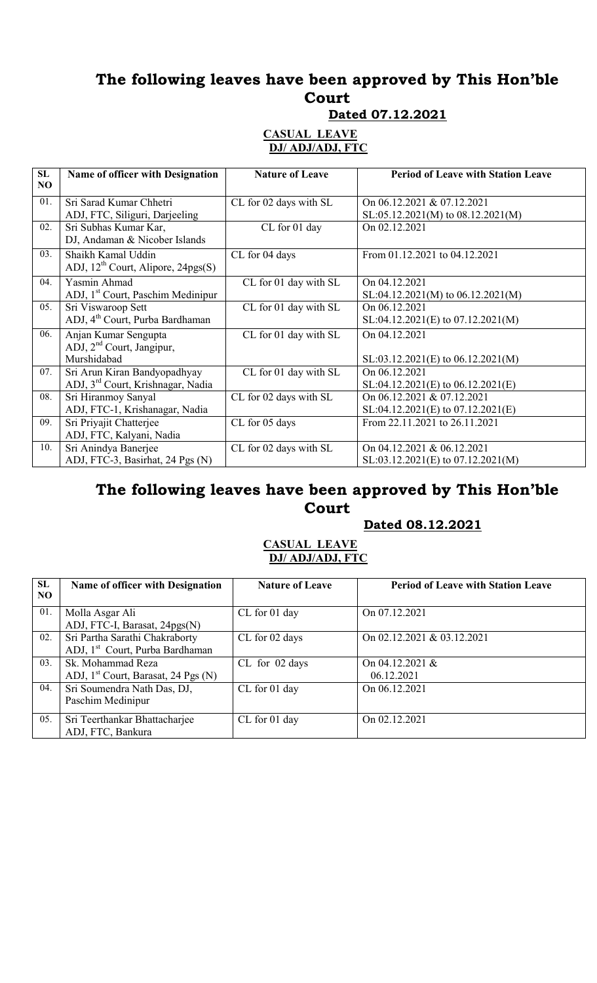# The following leaves have been approved by This Hon'ble Court

Dated 07.12.2021

#### CASUAL LEAVE DJ/ ADJ/ADJ, FTC

| SL<br>NO. | Name of officer with Designation                                              | <b>Nature of Leave</b> | <b>Period of Leave with Station Leave</b>                            |
|-----------|-------------------------------------------------------------------------------|------------------------|----------------------------------------------------------------------|
| 01.       | Sri Sarad Kumar Chhetri<br>ADJ, FTC, Siliguri, Darjeeling                     | CL for 02 days with SL | On 06.12.2021 & 07.12.2021<br>$SL:05.12.2021(M)$ to $08.12.2021(M)$  |
| 02.       | Sri Subhas Kumar Kar,<br>DJ, Andaman & Nicober Islands                        | CL for 01 day          | On 02.12.2021                                                        |
| 03.       | Shaikh Kamal Uddin<br>ADJ, $12^{th}$ Court, Alipore, $24pgs(S)$               | CL for 04 days         | From 01.12.2021 to 04.12.2021                                        |
| 04.       | Yasmin Ahmad<br>ADJ, 1 <sup>st</sup> Court, Paschim Medinipur                 | CL for 01 day with SL  | On 04.12.2021<br>$SL:04.12.2021(M)$ to $06.12.2021(M)$               |
| 05.       | Sri Viswaroop Sett<br>ADJ, 4 <sup>th</sup> Court, Purba Bardhaman             | CL for 01 day with SL  | On 06.12.2021<br>$SL:04.12.2021(E)$ to $07.12.2021(M)$               |
| 06.       | Anjan Kumar Sengupta<br>ADJ, 2 <sup>nd</sup> Court, Jangipur,<br>Murshidabad  | CL for 01 day with SL  | On 04.12.2021<br>$SL: 03.12.2021(E)$ to 06.12.2021(M)                |
| 07.       | Sri Arun Kiran Bandyopadhyay<br>ADJ, 3 <sup>rd</sup> Court, Krishnagar, Nadia | CL for 01 day with SL  | On 06.12.2021<br>$SL:04.12.2021(E)$ to $06.12.2021(E)$               |
| 08.       | Sri Hiranmoy Sanyal<br>ADJ, FTC-1, Krishanagar, Nadia                         | CL for 02 days with SL | On 06.12.2021 & 07.12.2021<br>$SL:04.12.2021(E)$ to $07.12.2021(E)$  |
| 09.       | Sri Priyajit Chatterjee<br>ADJ, FTC, Kalyani, Nadia                           | CL for 05 days         | From 22.11.2021 to 26.11.2021                                        |
| 10.       | Sri Anindya Banerjee<br>ADJ, FTC-3, Basirhat, 24 Pgs (N)                      | CL for 02 days with SL | On 04.12.2021 & 06.12.2021<br>$SL: 03.12.2021(E)$ to $07.12.2021(M)$ |

## The following leaves have been approved by This Hon'ble Court

#### Dated 08.12.2021

#### CASUAL LEAVE DJ/ ADJ/ADJ, FTC

| SL<br>NO. | Name of officer with Designation                | <b>Nature of Leave</b> | <b>Period of Leave with Station Leave</b> |
|-----------|-------------------------------------------------|------------------------|-------------------------------------------|
| 01.       | Molla Asgar Ali                                 | CL for 01 day          | On 07.12.2021                             |
|           | ADJ, FTC-I, Barasat, 24pgs(N)                   |                        |                                           |
| 02.       | Sri Partha Sarathi Chakraborty                  | CL for 02 days         | On 02.12.2021 & 03.12.2021                |
|           | ADJ, 1 <sup>st</sup> Court, Purba Bardhaman     |                        |                                           |
| 03.       | Sk. Mohammad Reza                               | $CL$ for 02 days       | On $04.12.2021$ &                         |
|           | ADJ, 1 <sup>st</sup> Court, Barasat, 24 Pgs (N) |                        | 06.12.2021                                |
| 04.       | Sri Soumendra Nath Das, DJ,                     | CL for 01 day          | On 06.12.2021                             |
|           | Paschim Medinipur                               |                        |                                           |
| 05.       | Sri Teerthankar Bhattacharjee                   | CL for 01 day          | On 02.12.2021                             |
|           | ADJ, FTC, Bankura                               |                        |                                           |